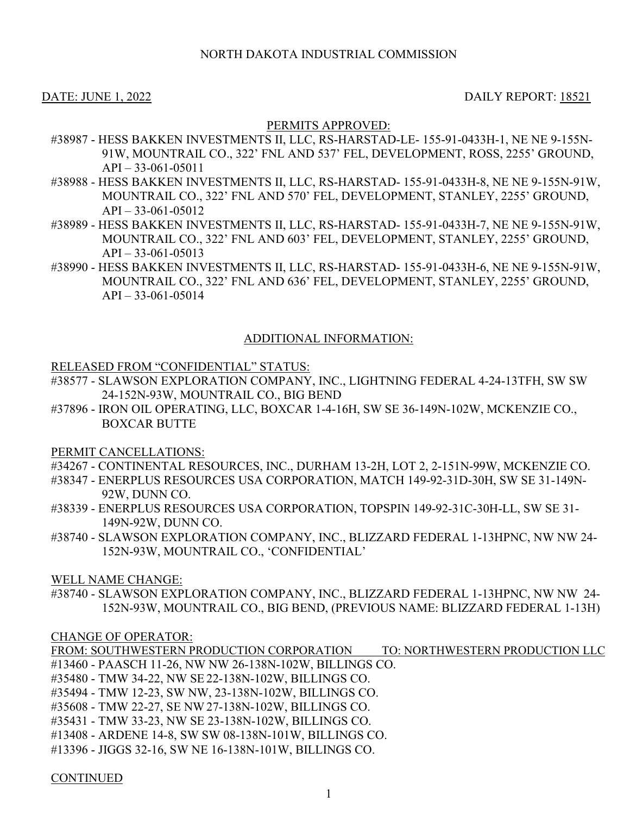# DATE: JUNE 1, 2022 DAILY REPORT: 18521

# PERMITS APPROVED:

- #38987 HESS BAKKEN INVESTMENTS II, LLC, RS-HARSTAD-LE- 155-91-0433H-1, NE NE 9-155N-91W, MOUNTRAIL CO., 322' FNL AND 537' FEL, DEVELOPMENT, ROSS, 2255' GROUND, API – 33-061-05011
- #38988 HESS BAKKEN INVESTMENTS II, LLC, RS-HARSTAD- 155-91-0433H-8, NE NE 9-155N-91W, MOUNTRAIL CO., 322' FNL AND 570' FEL, DEVELOPMENT, STANLEY, 2255' GROUND,  $API - 33-061-05012$
- #38989 HESS BAKKEN INVESTMENTS II, LLC, RS-HARSTAD- 155-91-0433H-7, NE NE 9-155N-91W, MOUNTRAIL CO., 322' FNL AND 603' FEL, DEVELOPMENT, STANLEY, 2255' GROUND,  $API - 33-061-05013$
- #38990 HESS BAKKEN INVESTMENTS II, LLC, RS-HARSTAD- 155-91-0433H-6, NE NE 9-155N-91W, MOUNTRAIL CO., 322' FNL AND 636' FEL, DEVELOPMENT, STANLEY, 2255' GROUND,  $API - 33-061-05014$

## ADDITIONAL INFORMATION:

### RELEASED FROM "CONFIDENTIAL" STATUS:

- #38577 SLAWSON EXPLORATION COMPANY, INC., LIGHTNING FEDERAL 4-24-13TFH, SW SW 24-152N-93W, MOUNTRAIL CO., BIG BEND
- #37896 IRON OIL OPERATING, LLC, BOXCAR 1-4-16H, SW SE 36-149N-102W, MCKENZIE CO., BOXCAR BUTTE

PERMIT CANCELLATIONS:

- #34267 CONTINENTAL RESOURCES, INC., DURHAM 13-2H, LOT 2, 2-151N-99W, MCKENZIE CO.
- #38347 ENERPLUS RESOURCES USA CORPORATION, MATCH 149-92-31D-30H, SW SE 31-149N-92W, DUNN CO.
- #38339 ENERPLUS RESOURCES USA CORPORATION, TOPSPIN 149-92-31C-30H-LL, SW SE 31- 149N-92W, DUNN CO.
- #38740 SLAWSON EXPLORATION COMPANY, INC., BLIZZARD FEDERAL 1-13HPNC, NW NW 24- 152N-93W, MOUNTRAIL CO., 'CONFIDENTIAL'

WELL NAME CHANGE:

#38740 - SLAWSON EXPLORATION COMPANY, INC., BLIZZARD FEDERAL 1-13HPNC, NW NW 24- 152N-93W, MOUNTRAIL CO., BIG BEND, (PREVIOUS NAME: BLIZZARD FEDERAL 1-13H)

### CHANGE OF OPERATOR:

FROM: SOUTHWESTERN PRODUCTION CORPORATION TO: NORTHWESTERN PRODUCTION LLC #13460 - PAASCH 11-26, NW NW 26-138N-102W, BILLINGS CO.

- #35480 TMW 34-22, NW SE 22-138N-102W, BILLINGS CO.
- #35494 TMW 12-23, SW NW, 23-138N-102W, BILLINGS CO.
- #35608 TMW 22-27, SE NW27-138N-102W, BILLINGS CO.
- #35431 TMW 33-23, NW SE 23-138N-102W, BILLINGS CO.
- #13408 ARDENE 14-8, SW SW 08-138N-101W, BILLINGS CO.
- #13396 JIGGS 32-16, SW NE 16-138N-101W, BILLINGS CO.

**CONTINUED**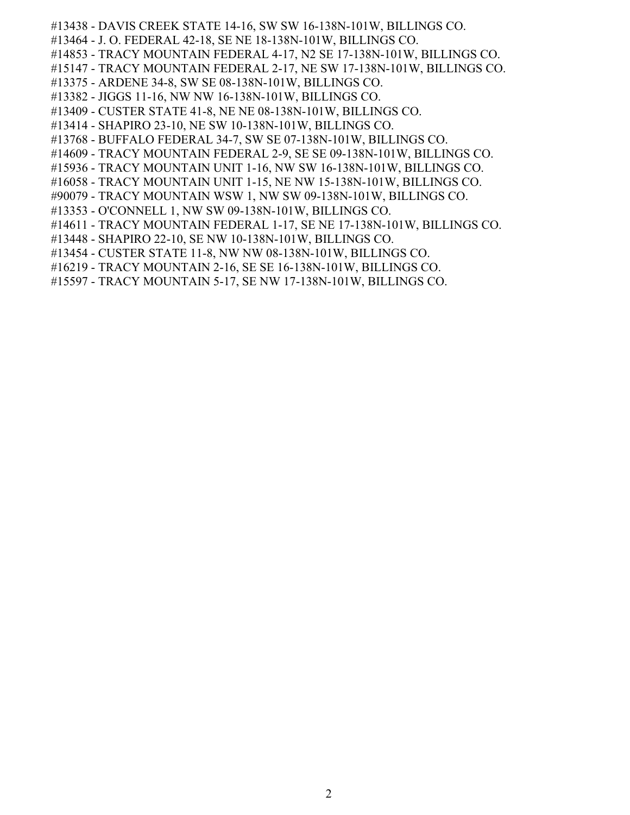- #13438 DAVIS CREEK STATE 14-16, SW SW 16-138N-101W, BILLINGS CO.
- #13464 J. O. FEDERAL 42-18, SE NE 18-138N-101W, BILLINGS CO.
- #14853 TRACY MOUNTAIN FEDERAL 4-17, N2 SE 17-138N-101W, BILLINGS CO.
- #15147 TRACY MOUNTAIN FEDERAL 2-17, NE SW 17-138N-101W, BILLINGS CO.
- #13375 ARDENE 34-8, SW SE 08-138N-101W, BILLINGS CO.
- #13382 JIGGS 11-16, NW NW 16-138N-101W, BILLINGS CO.
- #13409 CUSTER STATE 41-8, NE NE 08-138N-101W, BILLINGS CO.
- #13414 SHAPIRO 23-10, NE SW 10-138N-101W, BILLINGS CO.
- #13768 BUFFALO FEDERAL 34-7, SW SE 07-138N-101W, BILLINGS CO.
- #14609 TRACY MOUNTAIN FEDERAL 2-9, SE SE 09-138N-101W, BILLINGS CO.
- #15936 TRACY MOUNTAIN UNIT 1-16, NW SW 16-138N-101W, BILLINGS CO.
- #16058 TRACY MOUNTAIN UNIT 1-15, NE NW 15-138N-101W, BILLINGS CO.
- #90079 TRACY MOUNTAIN WSW 1, NW SW 09-138N-101W, BILLINGS CO.
- #13353 O'CONNELL 1, NW SW 09-138N-101W, BILLINGS CO.
- #14611 TRACY MOUNTAIN FEDERAL 1-17, SE NE 17-138N-101W, BILLINGS CO.
- #13448 SHAPIRO 22-10, SE NW 10-138N-101W, BILLINGS CO.
- #13454 CUSTER STATE 11-8, NW NW 08-138N-101W, BILLINGS CO.
- #16219 TRACY MOUNTAIN 2-16, SE SE 16-138N-101W, BILLINGS CO.
- #15597 TRACY MOUNTAIN 5-17, SE NW 17-138N-101W, BILLINGS CO.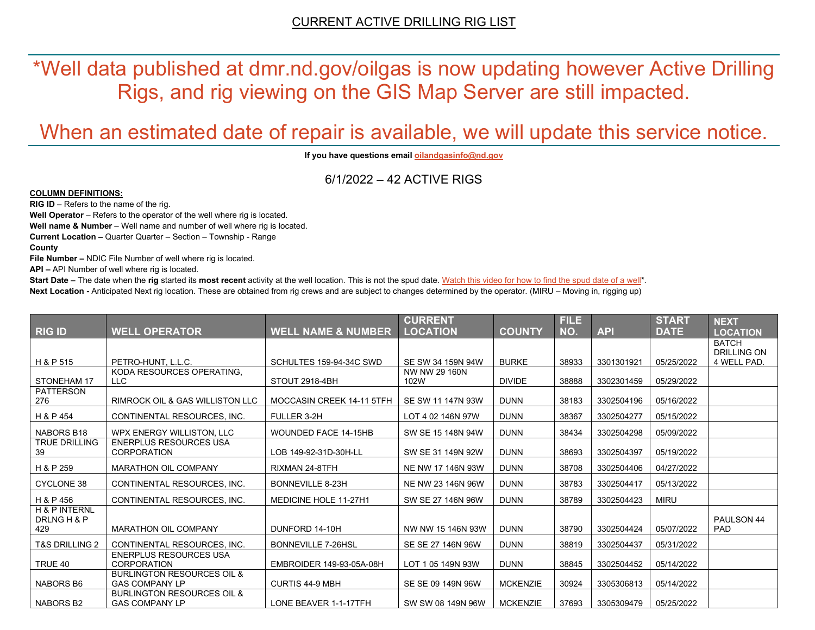\*Well data published at dmr.nd.gov/oilgas is now updating however Active Drilling Rigs, and rig viewing on the GIS Map Server are still impacted.

# When an estimated date of repair is available, we will update this service notice.

**If you have questions emai[l oilandgasinfo@nd.gov](mailto:oilandgasinfo@nd.gov)**

6/1/2022 – 42 ACTIVE RIGS

#### **COLUMN DEFINITIONS:**

**RIG ID** – Refers to the name of the rig.

**Well Operator** – Refers to the operator of the well where rig is located.

**Well name & Number** – Well name and number of well where rig is located.

**Current Location –** Quarter Quarter – Section – Township - Range

**County**

**File Number –** NDIC File Number of well where rig is located.

**API –** API Number of well where rig is located.

**Start Date** – The date when the **rig** started its most recent activity at the well location. This is not the spud date. Watch this video for how [to find the spud date of a well\\*](https://youtu.be/JjWwzuuMVpM). **Next Location -** Anticipated Next rig location. These are obtained from rig crews and are subject to changes determined by the operator. (MIRU – Moving in, rigging up)

|                                     |                                                                |                               | <b>CURRENT</b>        |                 | <b>FILE</b> |            | <b>START</b> | <b>NEXT</b>                        |
|-------------------------------------|----------------------------------------------------------------|-------------------------------|-----------------------|-----------------|-------------|------------|--------------|------------------------------------|
| <b>RIG ID</b>                       | <b>WELL OPERATOR</b>                                           | <b>WELL NAME &amp; NUMBER</b> | <b>LOCATION</b>       | <b>COUNTY</b>   | NO.         | <b>API</b> | <b>DATE</b>  | <b>LOCATION</b>                    |
|                                     |                                                                |                               |                       |                 |             |            |              | <b>BATCH</b><br><b>DRILLING ON</b> |
| H & P 515                           | PETRO-HUNT. L.L.C.                                             | SCHULTES 159-94-34C SWD       | SE SW 34 159N 94W     | <b>BURKE</b>    | 38933       | 3301301921 | 05/25/2022   | 4 WELL PAD.                        |
| STONEHAM 17                         | KODA RESOURCES OPERATING,<br><b>LLC</b>                        | STOUT 2918-4BH                | NW NW 29 160N<br>102W | <b>DIVIDE</b>   | 38888       | 3302301459 | 05/29/2022   |                                    |
| <b>PATTERSON</b><br>276             | RIMROCK OIL & GAS WILLISTON LLC                                | MOCCASIN CREEK 14-11 5TFH     | SE SW 11 147N 93W     | <b>DUNN</b>     | 38183       | 3302504196 | 05/16/2022   |                                    |
| H & P 454                           | CONTINENTAL RESOURCES. INC.                                    | FULLER 3-2H                   | LOT 4 02 146N 97W     | <b>DUNN</b>     | 38367       | 3302504277 | 05/15/2022   |                                    |
| <b>NABORS B18</b>                   | WPX ENERGY WILLISTON, LLC                                      | <b>WOUNDED FACE 14-15HB</b>   | SW SE 15 148N 94W     | <b>DUNN</b>     | 38434       | 3302504298 | 05/09/2022   |                                    |
| <b>TRUE DRILLING</b><br>39          | <b>ENERPLUS RESOURCES USA</b><br><b>CORPORATION</b>            | LOB 149-92-31D-30H-LL         | SW SE 31 149N 92W     | <b>DUNN</b>     | 38693       | 3302504397 | 05/19/2022   |                                    |
| H & P 259                           | <b>MARATHON OIL COMPANY</b>                                    | RIXMAN 24-8TFH                | NE NW 17 146N 93W     | <b>DUNN</b>     | 38708       | 3302504406 | 04/27/2022   |                                    |
| <b>CYCLONE 38</b>                   | CONTINENTAL RESOURCES, INC.                                    | <b>BONNEVILLE 8-23H</b>       | NE NW 23 146N 96W     | <b>DUNN</b>     | 38783       | 3302504417 | 05/13/2022   |                                    |
| H & P 456                           | CONTINENTAL RESOURCES. INC.                                    | <b>MEDICINE HOLE 11-27H1</b>  | SW SE 27 146N 96W     | <b>DUNN</b>     | 38789       | 3302504423 | <b>MIRU</b>  |                                    |
| H & P INTERNL<br>DRLNG H & P<br>429 | <b>MARATHON OIL COMPANY</b>                                    | DUNFORD 14-10H                | NW NW 15 146N 93W     | <b>DUNN</b>     | 38790       | 3302504424 | 05/07/2022   | PAULSON 44<br>PAD                  |
| <b>T&amp;S DRILLING 2</b>           | CONTINENTAL RESOURCES. INC.                                    | <b>BONNEVILLE 7-26HSL</b>     | SE SE 27 146N 96W     | <b>DUNN</b>     | 38819       | 3302504437 | 05/31/2022   |                                    |
| TRUE 40                             | <b>ENERPLUS RESOURCES USA</b><br><b>CORPORATION</b>            | EMBROIDER 149-93-05A-08H      | LOT 1 05 149N 93W     | <b>DUNN</b>     | 38845       | 3302504452 | 05/14/2022   |                                    |
| NABORS B6                           | <b>BURLINGTON RESOURCES OIL &amp;</b><br><b>GAS COMPANY LP</b> | <b>CURTIS 44-9 MBH</b>        | SE SE 09 149N 96W     | <b>MCKENZIE</b> | 30924       | 3305306813 | 05/14/2022   |                                    |
| NABORS B2                           | <b>BURLINGTON RESOURCES OIL &amp;</b><br><b>GAS COMPANY LP</b> | LONE BEAVER 1-1-17TFH         | SW SW 08 149N 96W     | <b>MCKENZIE</b> | 37693       | 3305309479 | 05/25/2022   |                                    |